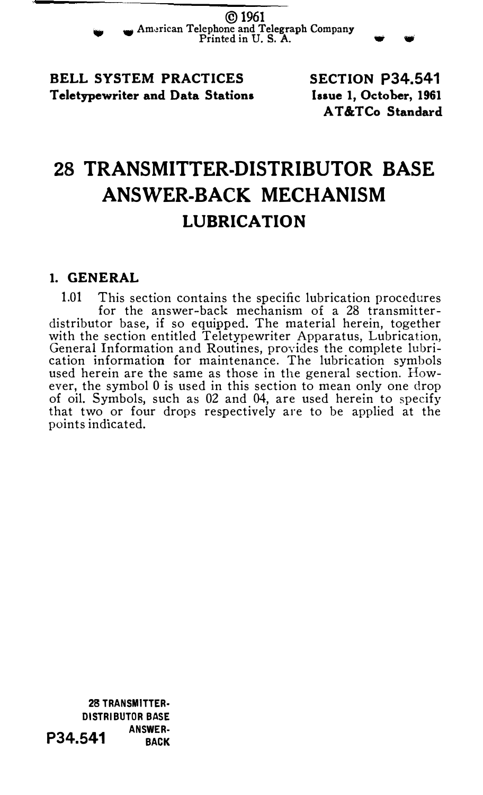©1961 .,.. Am�rican Telephone and Telegraph Company Printed in U. S. A.

BELL SYSTEM PRACTICES Teletypewriter and Data Stations SECTION P34.541 lasue 1, October, 1961 AT &TCo Standard

# 28 TRANSMITTER-DISTRIBUTOR BASE ANSWER-BACK MECHANISM LUBRICATION

### 1. GENERAL

1.01 This section contains the specific lubrication procedures for the answer-back mechanism of a 28 transmitterdistributor base, if so equipped. The material herein, together with the section entitled Teletypewriter Apparatus, Lubrication, General Information and Routines, provides the complete lubrication information for maintenance. The lubrication symbols used herein are the same as those in the general section. However, the symbol 0 is used in this section to mean only one drop of oil. Symbols, such as 02 and 04, are used herein to specify that two or four drops respectively are to be applied at the points indicated.

28 TRANSMITTER· DISTRIBUTOR BASE  $P34.541$  ANSWER-<br>BACK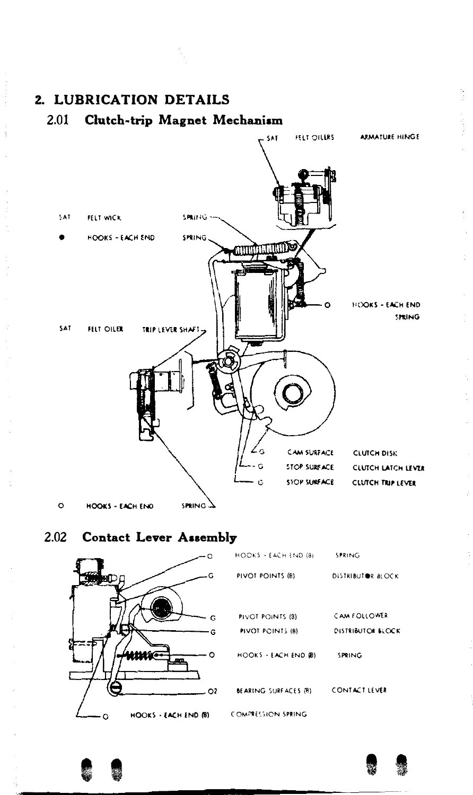

2.02 Contact Lever Assembly





i.

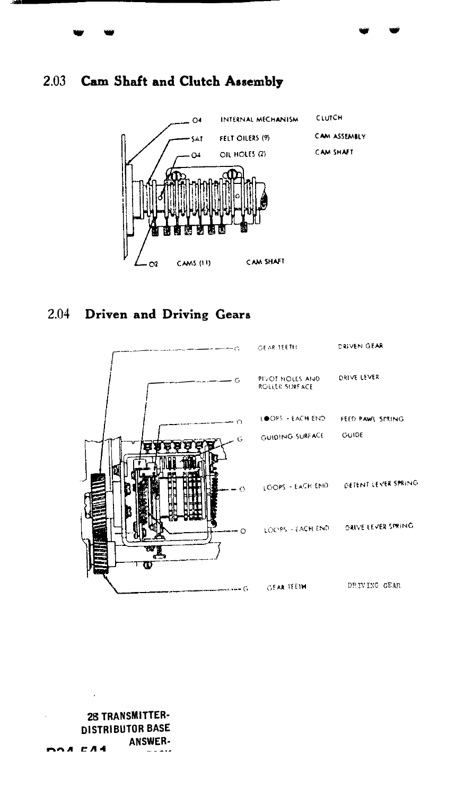

# 2.04 Driven and Driving Gears



28 TRANSMITTER-**DISTRIBUTOR BASE ANSWER-DOA CA4** . . . . .

# 2.03 Cam Shaft and Clutch Assembly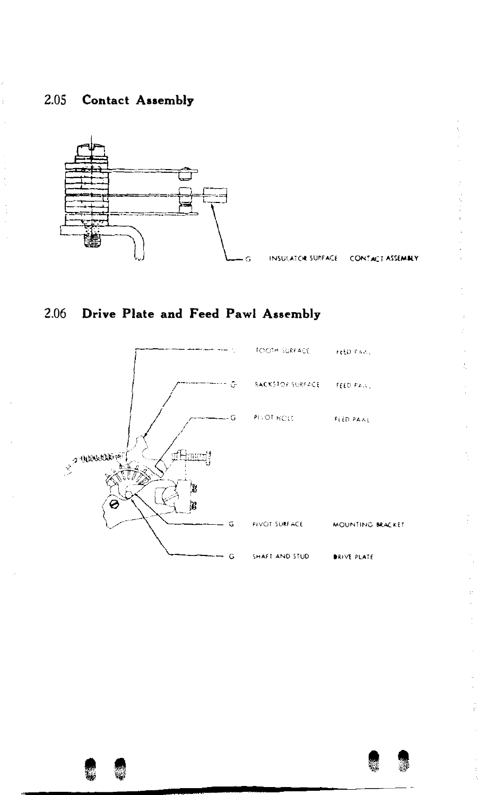



INSULATOR SURFACE CONTACT ASSEMBLY  $\mathcal{L}_{\mathcal{A}}=\mathcal{L}_{\mathcal{A}}$  and  $\mathcal{A}_{\mathcal{A}}$  are defined as

 $\tilde{\mathcal{L}}$ 





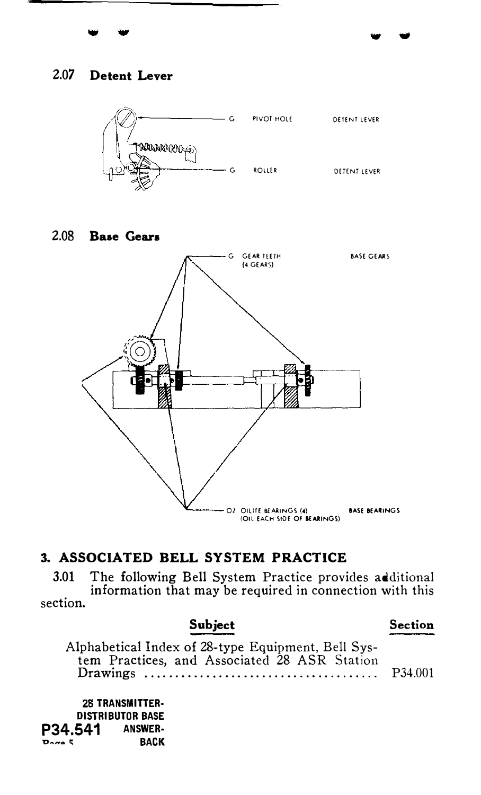## 2.07 Detent Lever



#### 2.08 **Base Gears**



# 3. ASSOCIATED BELL SYSTEM PRACTICE

3.01 The following Bell System Practice provides additional information that may be required in connection with this section.

Subject Section Alphabetical Index of 28-type Equipment, Bell System Practices, and Associated 28 ASR Station P34.001 28 TRANSMITTER-**DISTRIBUTOR BASE** 

**ANSWER-**P34.541 **BACK**  $P_{\text{max}}$